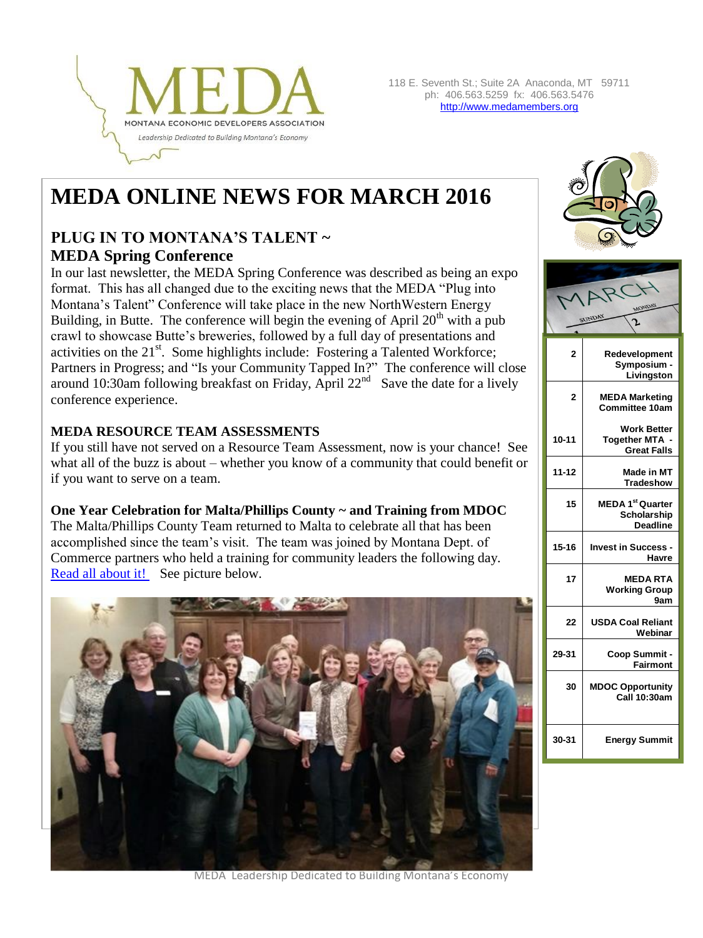

# **MEDA ONLINE NEWS FOR MARCH 2016**

# **PLUG IN TO MONTANA'S TALENT ~ MEDA Spring Conference**

In our last newsletter, the MEDA Spring Conference was described as being an expo format. This has all changed due to the exciting news that the MEDA "Plug into Montana's Talent" Conference will take place in the new NorthWestern Energy Building, in Butte. The conference will begin the evening of April  $20<sup>th</sup>$  with a pub crawl to showcase Butte's breweries, followed by a full day of presentations and activities on the 21<sup>st</sup>. Some highlights include: Fostering a Talented Workforce; Partners in Progress; and "Is your Community Tapped In?" The conference will close around 10:30am following breakfast on Friday, April  $22<sup>nd</sup>$  Save the date for a lively conference experience.

#### **MEDA RESOURCE TEAM ASSESSMENTS**

If you still have not served on a Resource Team Assessment, now is your chance! See what all of the buzz is about – whether you know of a community that could benefit or if you want to serve on a team.

#### **One Year Celebration for Malta/Phillips County ~ and Training from MDOC**

The Malta/Phillips County Team returned to Malta to celebrate all that has been accomplished since the team's visit. The team was joined by Montana Dept. of Commerce partners who held a training for community leaders the following day. [Read all about it!](http://www.medamembers.org/meda/resources/resource-team-assessments/?item=8085) See picture below.







MEDA Leadership Dedicated to Building Montana's Economy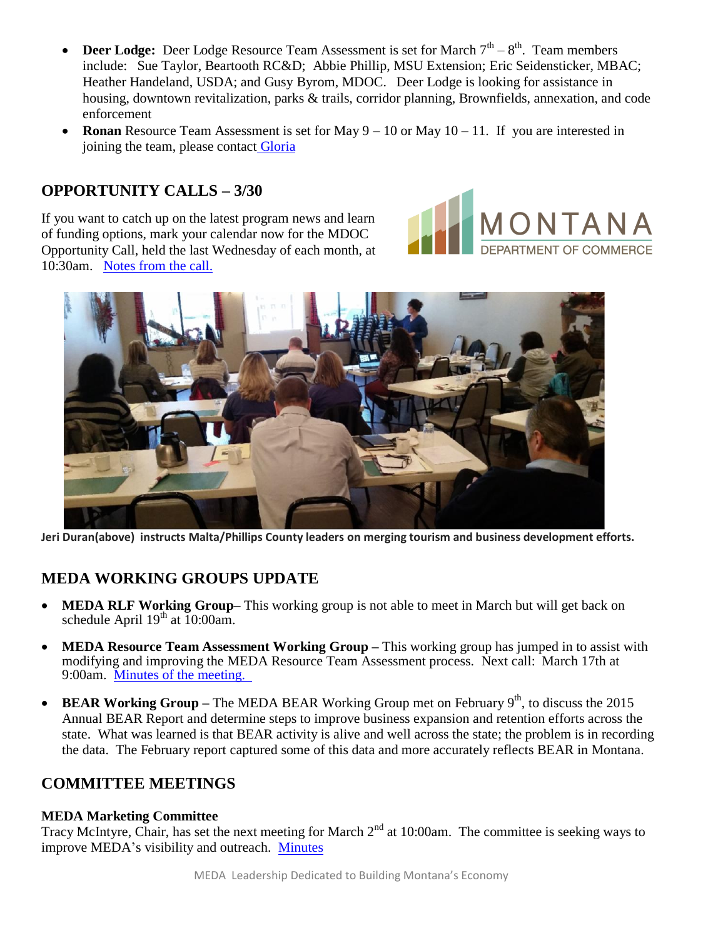- **Deer Lodge:** Deer Lodge Resource Team Assessment is set for March  $7<sup>th</sup> 8<sup>th</sup>$ . Team members include: Sue Taylor, Beartooth RC&D; Abbie Phillip, MSU Extension; Eric Seidensticker, MBAC; Heather Handeland, USDA; and Gusy Byrom, MDOC. Deer Lodge is looking for assistance in housing, downtown revitalization, parks & trails, corridor planning, Brownfields, annexation, and code enforcement
- **Ronan** Resource Team Assessment is set for May 9 10 or May 10 11. If you are interested in joining the team, please contact [Gloria](mailto:gloria@medamembers.org)

## **OPPORTUNITY CALLS – 3/30**

If you want to catch up on the latest program news and learn of funding options, mark your calendar now for the MDOC Opportunity Call, held the last Wednesday of each month, at 10:30am. [Notes from the call.](http://www.medamembers.org/meda/resources/business-resources/resource-library/?item=8087)





**Jeri Duran(above) instructs Malta/Phillips County leaders on merging tourism and business development efforts.**

# **MEDA WORKING GROUPS UPDATE**

- **MEDA RLF Working Group–** This working group is not able to meet in March but will get back on schedule April  $19<sup>th</sup>$  at 10:00am.
- **MEDA Resource Team Assessment Working Group –** This working group has jumped in to assist with modifying and improving the MEDA Resource Team Assessment process. Next call: March 17th at 9:00am. [Minutes of the meeting.](http://www.medamembers.org/meda/resources/resource-team-assessments/?item=8086)
- **BEAR Working Group** The MEDA BEAR Working Group met on February  $9<sup>th</sup>$ , to discuss the 2015 Annual BEAR Report and determine steps to improve business expansion and retention efforts across the state. What was learned is that BEAR activity is alive and well across the state; the problem is in recording the data. The February report captured some of this data and more accurately reflects BEAR in Montana.

### **COMMITTEE MEETINGS**

#### **MEDA Marketing Committee**

Tracy McIntyre, Chair, has set the next meeting for March 2<sup>nd</sup> at 10:00am. The committee is seeking ways to improve MEDA's visibility and outreach. [Minutes](http://www.medamembers.org/meda/resources/business-resources/resource-library/?item=8092)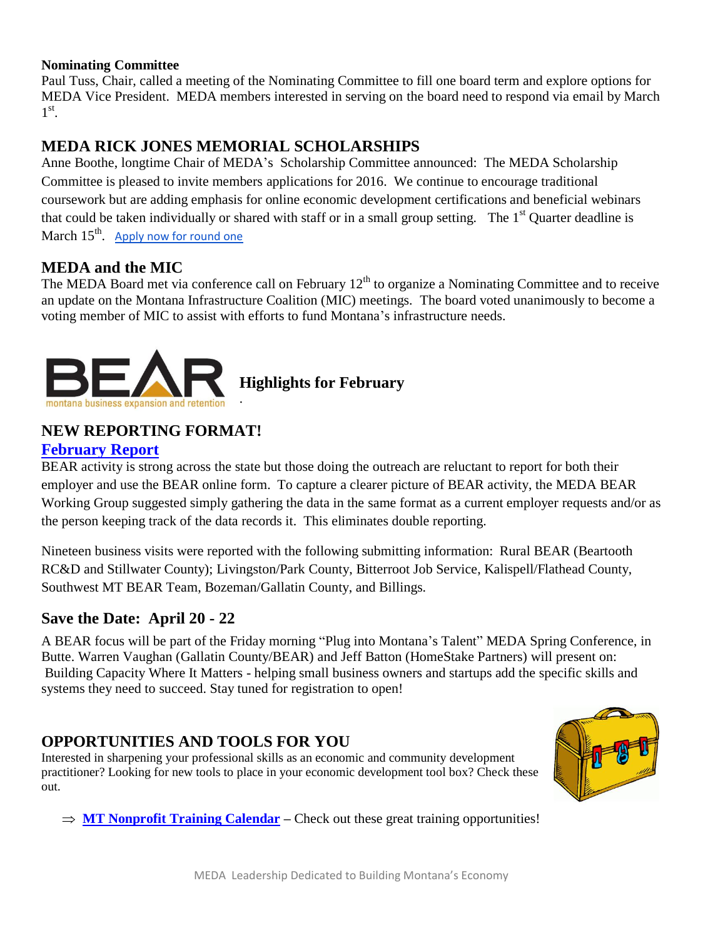#### **Nominating Committee**

Paul Tuss, Chair, called a meeting of the Nominating Committee to fill one board term and explore options for MEDA Vice President. MEDA members interested in serving on the board need to respond via email by March  $1^{\text{st}}$ .

## **MEDA RICK JONES MEMORIAL SCHOLARSHIPS**

.

Anne Boothe, longtime Chair of MEDA's Scholarship Committee announced: The MEDA Scholarship Committee is pleased to invite members applications for 2016. We continue to encourage traditional coursework but are adding emphasis for online economic development certifications and beneficial webinars that could be taken individually or shared with staff or in a small group setting. The  $1<sup>st</sup>$  Quarter deadline is March 15<sup>th</sup>. [Apply now for round one](http://www.medamembers.org/meda/membership/scholarships)

## **MEDA and the MIC**

The MEDA Board met via conference call on February  $12<sup>th</sup>$  to organize a Nominating Committee and to receive an update on the Montana Infrastructure Coalition (MIC) meetings. The board voted unanimously to become a voting member of MIC to assist with efforts to fund Montana's infrastructure needs.



**Highlights for February**

## **NEW REPORTING FORMAT!**

#### **[February Report](http://www.medamembers.org/meda/working-groups/bear/bear-reports/?item=8094)**

BEAR activity is strong across the state but those doing the outreach are reluctant to report for both their employer and use the BEAR online form. To capture a clearer picture of BEAR activity, the MEDA BEAR Working Group suggested simply gathering the data in the same format as a current employer requests and/or as the person keeping track of the data records it. This eliminates double reporting.

Nineteen business visits were reported with the following submitting information: Rural BEAR (Beartooth RC&D and Stillwater County); Livingston/Park County, Bitterroot Job Service, Kalispell/Flathead County, Southwest MT BEAR Team, Bozeman/Gallatin County, and Billings.

## **Save the Date: April 20 - 22**

A BEAR focus will be part of the Friday morning "Plug into Montana's Talent" MEDA Spring Conference, in Butte. Warren Vaughan (Gallatin County/BEAR) and Jeff Batton (HomeStake Partners) will present on: Building Capacity Where It Matters - helping small business owners and startups add the specific skills and systems they need to succeed. Stay tuned for registration to open!

## **OPPORTUNITIES AND TOOLS FOR YOU**

Interested in sharpening your professional skills as an economic and community development practitioner? Looking for new tools to place in your economic development tool box? Check these out.



 $\Rightarrow$  **[MT Nonprofit Training Calendar](http://www.mtnonprofit.org/calendar.aspx?display=month&sDate=2/1/2016&type=full&displaymod=editworkarea)** – Check out these great training opportunities!